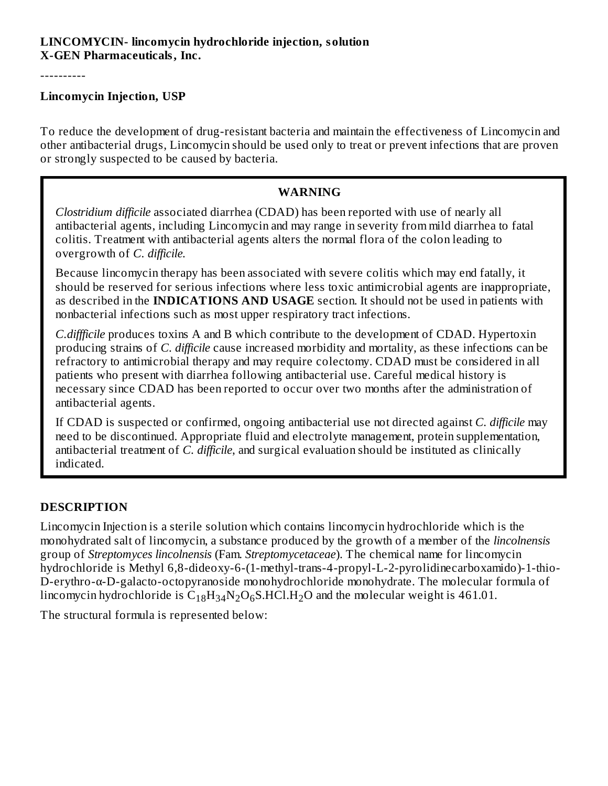## **LINCOMYCIN- lincomycin hydrochloride injection, solution X-GEN Pharmaceuticals, Inc.**

----------

#### **Lincomycin Injection, USP**

To reduce the development of drug-resistant bacteria and maintain the effectiveness of Lincomycin and other antibacterial drugs, Lincomycin should be used only to treat or prevent infections that are proven or strongly suspected to be caused by bacteria.

## **WARNING**

*Clostridium difficile* associated diarrhea (CDAD) has been reported with use of nearly all antibacterial agents, including Lincomycin and may range in severity from mild diarrhea to fatal colitis. Treatment with antibacterial agents alters the normal flora of the colon leading to overgrowth of *C. difficile.*

Because lincomycin therapy has been associated with severe colitis which may end fatally, it should be reserved for serious infections where less toxic antimicrobial agents are inappropriate, as described in the **INDICATIONS AND USAGE** section. It should not be used in patients with nonbacterial infections such as most upper respiratory tract infections.

*C.diffficile* produces toxins A and B which contribute to the development of CDAD. Hypertoxin producing strains of *C. difficile* cause increased morbidity and mortality, as these infections can be refractory to antimicrobial therapy and may require colectomy. CDAD must be considered in all patients who present with diarrhea following antibacterial use. Careful medical history is necessary since CDAD has been reported to occur over two months after the administration of antibacterial agents.

If CDAD is suspected or confirmed, ongoing antibacterial use not directed against *C. difficile* may need to be discontinued. Appropriate fluid and electrolyte management, protein supplementation, antibacterial treatment of *C. difficile*, and surgical evaluation should be instituted as clinically indicated.

## **DESCRIPTION**

Lincomycin Injection is a sterile solution which contains lincomycin hydrochloride which is the monohydrated salt of lincomycin, a substance produced by the growth of a member of the *lincolnensis* group of *Streptomyces lincolnensis* (Fam. *Streptomycetaceae*). The chemical name for lincomycin hydrochloride is Methyl 6,8-dideoxy-6-(1-methyl-trans-4-propyl-L-2-pyrolidinecarboxamido)-1-thio-D-erythro-α-D-galacto-octopyranoside monohydrochloride monohydrate. The molecular formula of lincomycin hydrochloride is  $\rm{C_{18}H_{34}N_{2}O_6S. HCl. H_{2}O}$  and the molecular weight is 461.01.

The structural formula is represented below: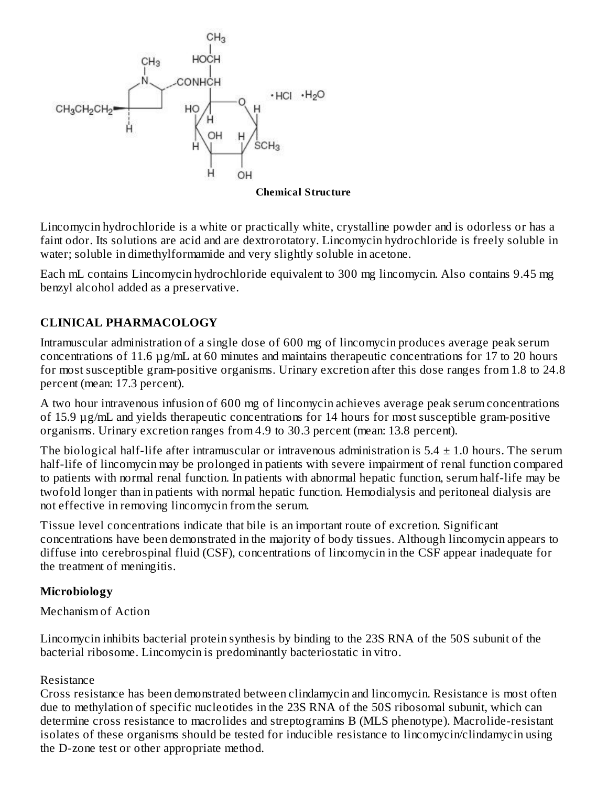

**Chemical Structure**

Lincomycin hydrochloride is a white or practically white, crystalline powder and is odorless or has a faint odor. Its solutions are acid and are dextrorotatory. Lincomycin hydrochloride is freely soluble in water; soluble in dimethylformamide and very slightly soluble in acetone.

Each mL contains Lincomycin hydrochloride equivalent to 300 mg lincomycin. Also contains 9.45 mg benzyl alcohol added as a preservative.

# **CLINICAL PHARMACOLOGY**

Intramuscular administration of a single dose of 600 mg of lincomycin produces average peak serum concentrations of 11.6 µg/mL at 60 minutes and maintains therapeutic concentrations for 17 to 20 hours for most susceptible gram-positive organisms. Urinary excretion after this dose ranges from 1.8 to 24.8 percent (mean: 17.3 percent).

A two hour intravenous infusion of 600 mg of lincomycin achieves average peak serum concentrations of 15.9 µg/mL and yields therapeutic concentrations for 14 hours for most susceptible gram-positive organisms. Urinary excretion ranges from 4.9 to 30.3 percent (mean: 13.8 percent).

The biological half-life after intramuscular or intravenous administration is  $5.4 \pm 1.0$  hours. The serum half-life of lincomycin may be prolonged in patients with severe impairment of renal function compared to patients with normal renal function. In patients with abnormal hepatic function, serum half-life may be twofold longer than in patients with normal hepatic function. Hemodialysis and peritoneal dialysis are not effective in removing lincomycin from the serum.

Tissue level concentrations indicate that bile is an important route of excretion. Significant concentrations have been demonstrated in the majority of body tissues. Although lincomycin appears to diffuse into cerebrospinal fluid (CSF), concentrations of lincomycin in the CSF appear inadequate for the treatment of meningitis.

## **Microbiology**

Mechanism of Action

Lincomycin inhibits bacterial protein synthesis by binding to the 23S RNA of the 50S subunit of the bacterial ribosome. Lincomycin is predominantly bacteriostatic in vitro.

## Resistance

Cross resistance has been demonstrated between clindamycin and lincomycin. Resistance is most often due to methylation of specific nucleotides in the 23S RNA of the 50S ribosomal subunit, which can determine cross resistance to macrolides and streptogramins B (MLS phenotype). Macrolide-resistant isolates of these organisms should be tested for inducible resistance to lincomycin/clindamycin using the D-zone test or other appropriate method.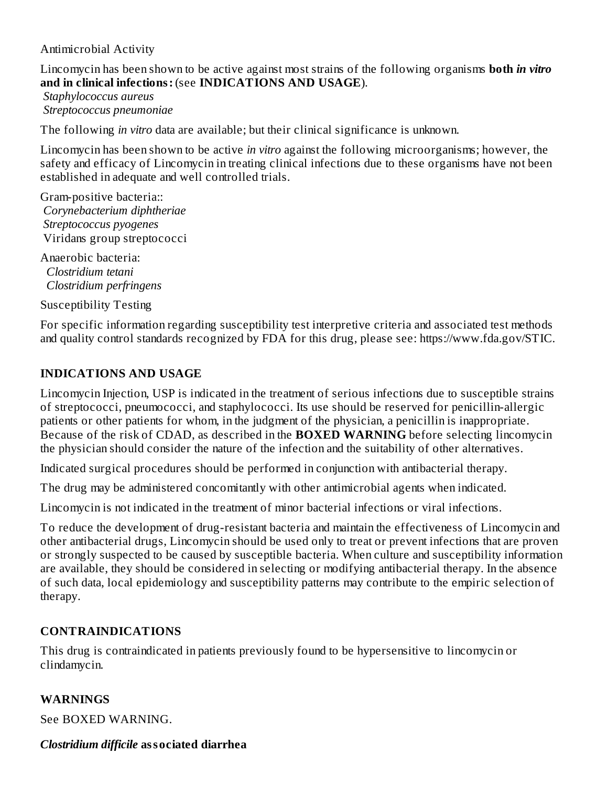Antimicrobial Activity

Lincomycin has been shown to be active against most strains of the following organisms **both** *in vitro* **and in clinical infections:** (see **INDICATIONS AND USAGE**).

*Staphylococcus aureus Streptococcus pneumoniae*

The following *in vitro* data are available; but their clinical significance is unknown.

Lincomycin has been shown to be active *in vitro* against the following microorganisms; however, the safety and efficacy of Lincomycin in treating clinical infections due to these organisms have not been established in adequate and well controlled trials.

Gram-positive bacteria:: *Corynebacterium diphtheriae Streptococcus pyogenes* Viridans group streptococci

Anaerobic bacteria: *Clostridium tetani Clostridium perfringens*

Susceptibility Testing

For specific information regarding susceptibility test interpretive criteria and associated test methods and quality control standards recognized by FDA for this drug, please see: https://www.fda.gov/STIC.

## **INDICATIONS AND USAGE**

Lincomycin Injection, USP is indicated in the treatment of serious infections due to susceptible strains of streptococci, pneumococci, and staphylococci. Its use should be reserved for penicillin-allergic patients or other patients for whom, in the judgment of the physician, a penicillin is inappropriate. Because of the risk of CDAD, as described in the **BOXED WARNING** before selecting lincomycin the physician should consider the nature of the infection and the suitability of other alternatives.

Indicated surgical procedures should be performed in conjunction with antibacterial therapy.

The drug may be administered concomitantly with other antimicrobial agents when indicated.

Lincomycin is not indicated in the treatment of minor bacterial infections or viral infections.

To reduce the development of drug-resistant bacteria and maintain the effectiveness of Lincomycin and other antibacterial drugs, Lincomycin should be used only to treat or prevent infections that are proven or strongly suspected to be caused by susceptible bacteria. When culture and susceptibility information are available, they should be considered in selecting or modifying antibacterial therapy. In the absence of such data, local epidemiology and susceptibility patterns may contribute to the empiric selection of therapy.

# **CONTRAINDICATIONS**

This drug is contraindicated in patients previously found to be hypersensitive to lincomycin or clindamycin.

## **WARNINGS**

See BOXED WARNING.

## *Clostridium difficile* **associated diarrhea**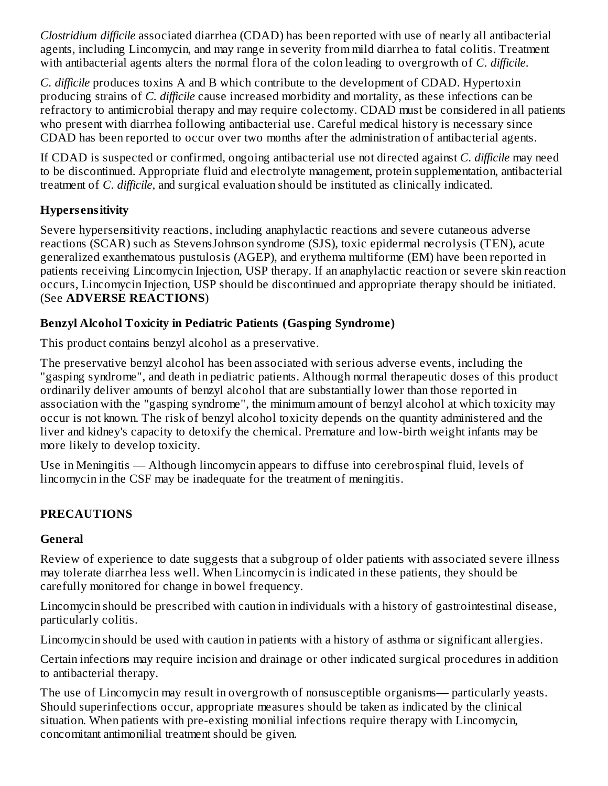*Clostridium difficile* associated diarrhea (CDAD) has been reported with use of nearly all antibacterial agents, including Lincomycin, and may range in severity from mild diarrhea to fatal colitis. Treatment with antibacterial agents alters the normal flora of the colon leading to overgrowth of *C. difficile*.

*C. difficile* produces toxins A and B which contribute to the development of CDAD. Hypertoxin producing strains of *C. difficile* cause increased morbidity and mortality, as these infections can be refractory to antimicrobial therapy and may require colectomy. CDAD must be considered in all patients who present with diarrhea following antibacterial use. Careful medical history is necessary since CDAD has been reported to occur over two months after the administration of antibacterial agents.

If CDAD is suspected or confirmed, ongoing antibacterial use not directed against *C. difficile* may need to be discontinued. Appropriate fluid and electrolyte management, protein supplementation, antibacterial treatment of *C. difficile*, and surgical evaluation should be instituted as clinically indicated.

# **Hypers ensitivity**

Severe hypersensitivity reactions, including anaphylactic reactions and severe cutaneous adverse reactions (SCAR) such as StevensJohnson syndrome (SJS), toxic epidermal necrolysis (TEN), acute generalized exanthematous pustulosis (AGEP), and erythema multiforme (EM) have been reported in patients receiving Lincomycin Injection, USP therapy. If an anaphylactic reaction or severe skin reaction occurs, Lincomycin Injection, USP should be discontinued and appropriate therapy should be initiated. (See **ADVERSE REACTIONS**)

# **Benzyl Alcohol Toxicity in Pediatric Patients (Gasping Syndrome)**

This product contains benzyl alcohol as a preservative.

The preservative benzyl alcohol has been associated with serious adverse events, including the "gasping syndrome", and death in pediatric patients. Although normal therapeutic doses of this product ordinarily deliver amounts of benzyl alcohol that are substantially lower than those reported in association with the "gasping syndrome", the minimum amount of benzyl alcohol at which toxicity may occur is not known. The risk of benzyl alcohol toxicity depends on the quantity administered and the liver and kidney's capacity to detoxify the chemical. Premature and low-birth weight infants may be more likely to develop toxicity.

Use in Meningitis — Although lincomycin appears to diffuse into cerebrospinal fluid, levels of lincomycin in the CSF may be inadequate for the treatment of meningitis.

# **PRECAUTIONS**

# **General**

Review of experience to date suggests that a subgroup of older patients with associated severe illness may tolerate diarrhea less well. When Lincomycin is indicated in these patients, they should be carefully monitored for change in bowel frequency.

Lincomycin should be prescribed with caution in individuals with a history of gastrointestinal disease, particularly colitis.

Lincomycin should be used with caution in patients with a history of asthma or significant allergies.

Certain infections may require incision and drainage or other indicated surgical procedures in addition to antibacterial therapy.

The use of Lincomycin may result in overgrowth of nonsusceptible organisms— particularly yeasts. Should superinfections occur, appropriate measures should be taken as indicated by the clinical situation. When patients with pre-existing monilial infections require therapy with Lincomycin, concomitant antimonilial treatment should be given.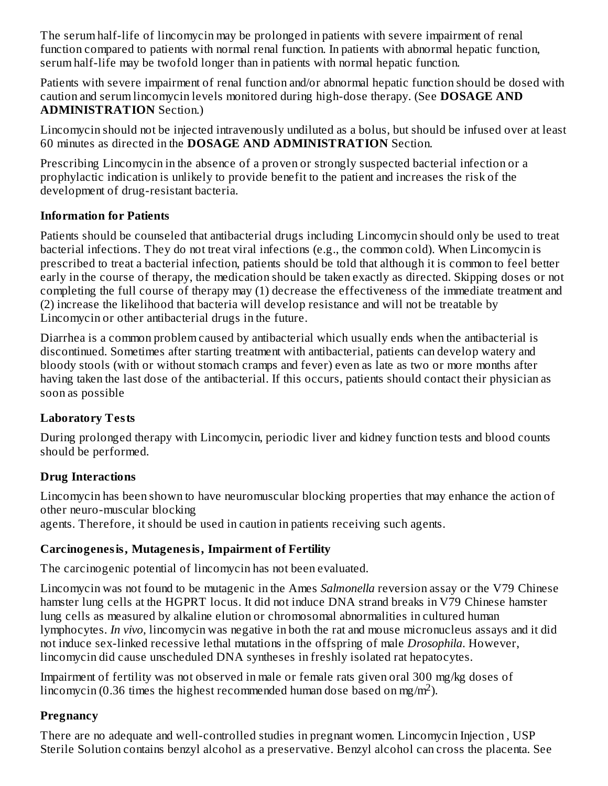The serum half-life of lincomycin may be prolonged in patients with severe impairment of renal function compared to patients with normal renal function. In patients with abnormal hepatic function, serum half-life may be twofold longer than in patients with normal hepatic function.

Patients with severe impairment of renal function and/or abnormal hepatic function should be dosed with caution and serum lincomycin levels monitored during high-dose therapy. (See **DOSAGE AND ADMINISTRATION** Section.)

Lincomycin should not be injected intravenously undiluted as a bolus, but should be infused over at least 60 minutes as directed in the **DOSAGE AND ADMINISTRATION** Section.

Prescribing Lincomycin in the absence of a proven or strongly suspected bacterial infection or a prophylactic indication is unlikely to provide benefit to the patient and increases the risk of the development of drug-resistant bacteria.

## **Information for Patients**

Patients should be counseled that antibacterial drugs including Lincomycin should only be used to treat bacterial infections. They do not treat viral infections (e.g., the common cold). When Lincomycin is prescribed to treat a bacterial infection, patients should be told that although it is common to feel better early in the course of therapy, the medication should be taken exactly as directed. Skipping doses or not completing the full course of therapy may (1) decrease the effectiveness of the immediate treatment and (2) increase the likelihood that bacteria will develop resistance and will not be treatable by Lincomycin or other antibacterial drugs in the future.

Diarrhea is a common problem caused by antibacterial which usually ends when the antibacterial is discontinued. Sometimes after starting treatment with antibacterial, patients can develop watery and bloody stools (with or without stomach cramps and fever) even as late as two or more months after having taken the last dose of the antibacterial. If this occurs, patients should contact their physician as soon as possible

# **Laboratory Tests**

During prolonged therapy with Lincomycin, periodic liver and kidney function tests and blood counts should be performed.

# **Drug Interactions**

Lincomycin has been shown to have neuromuscular blocking properties that may enhance the action of other neuro-muscular blocking

agents. Therefore, it should be used in caution in patients receiving such agents.

# **Carcinogenesis, Mutagenesis, Impairment of Fertility**

The carcinogenic potential of lincomycin has not been evaluated.

Lincomycin was not found to be mutagenic in the Ames *Salmonella* reversion assay or the V79 Chinese hamster lung cells at the HGPRT locus. It did not induce DNA strand breaks in V79 Chinese hamster lung cells as measured by alkaline elution or chromosomal abnormalities in cultured human lymphocytes. *In vivo*, lincomycin was negative in both the rat and mouse micronucleus assays and it did not induce sex-linked recessive lethal mutations in the offspring of male *Drosophila*. However, lincomycin did cause unscheduled DNA syntheses in freshly isolated rat hepatocytes.

Impairment of fertility was not observed in male or female rats given oral 300 mg/kg doses of lincomycin (0.36 times the highest recommended human dose based on mg/m<sup>2</sup>).

# **Pregnancy**

There are no adequate and well-controlled studies in pregnant women. Lincomycin Injection , USP Sterile Solution contains benzyl alcohol as a preservative. Benzyl alcohol can cross the placenta. See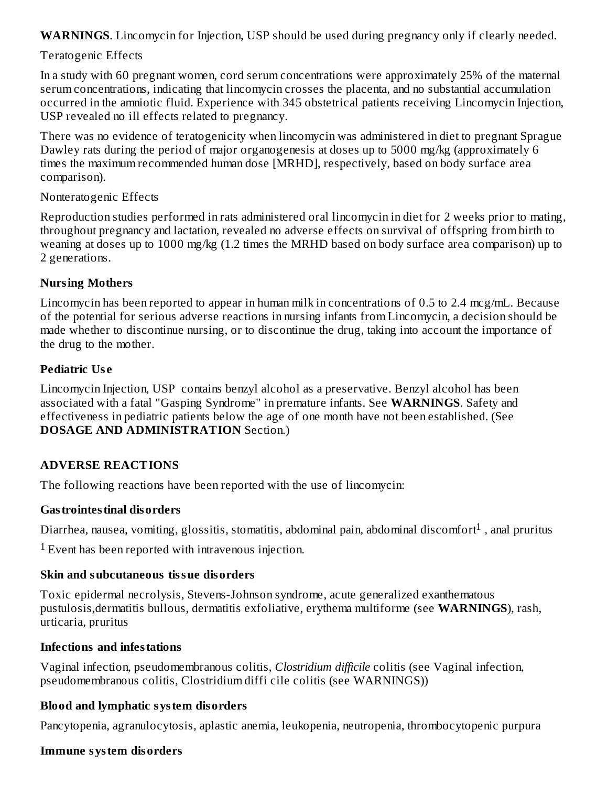**WARNINGS**. Lincomycin for Injection, USP should be used during pregnancy only if clearly needed.

## Teratogenic Effects

In a study with 60 pregnant women, cord serum concentrations were approximately 25% of the maternal serum concentrations, indicating that lincomycin crosses the placenta, and no substantial accumulation occurred in the amniotic fluid. Experience with 345 obstetrical patients receiving Lincomycin Injection, USP revealed no ill effects related to pregnancy.

There was no evidence of teratogenicity when lincomycin was administered in diet to pregnant Sprague Dawley rats during the period of major organogenesis at doses up to 5000 mg/kg (approximately 6 times the maximum recommended human dose [MRHD], respectively, based on body surface area comparison).

#### Nonteratogenic Effects

Reproduction studies performed in rats administered oral lincomycin in diet for 2 weeks prior to mating, throughout pregnancy and lactation, revealed no adverse effects on survival of offspring from birth to weaning at doses up to 1000 mg/kg (1.2 times the MRHD based on body surface area comparison) up to 2 generations.

## **Nursing Mothers**

Lincomycin has been reported to appear in human milk in concentrations of 0.5 to 2.4 mcg/mL. Because of the potential for serious adverse reactions in nursing infants from Lincomycin, a decision should be made whether to discontinue nursing, or to discontinue the drug, taking into account the importance of the drug to the mother.

## **Pediatric Us e**

Lincomycin Injection, USP contains benzyl alcohol as a preservative. Benzyl alcohol has been associated with a fatal "Gasping Syndrome" in premature infants. See **WARNINGS**. Safety and effectiveness in pediatric patients below the age of one month have not been established. (See **DOSAGE AND ADMINISTRATION** Section.)

## **ADVERSE REACTIONS**

The following reactions have been reported with the use of lincomycin:

## **Gastrointestinal disorders**

Diarrhea, nausea, vomiting, glossitis, stomatitis, abdominal pain, abdominal discomfort $^1$  , anal pruritus

 $1$  Event has been reported with intravenous injection.

## **Skin and subcutaneous tissue disorders**

Toxic epidermal necrolysis, Stevens-Johnson syndrome, acute generalized exanthematous pustulosis,dermatitis bullous, dermatitis exfoliative, erythema multiforme (see **WARNINGS**), rash, urticaria, pruritus

## **Infections and infestations**

Vaginal infection, pseudomembranous colitis, *Clostridium difficile* colitis (see Vaginal infection, pseudomembranous colitis, Clostridium diffi cile colitis (see WARNINGS))

# **Blood and lymphatic system disorders**

Pancytopenia, agranulocytosis, aplastic anemia, leukopenia, neutropenia, thrombocytopenic purpura

## **Immune system disorders**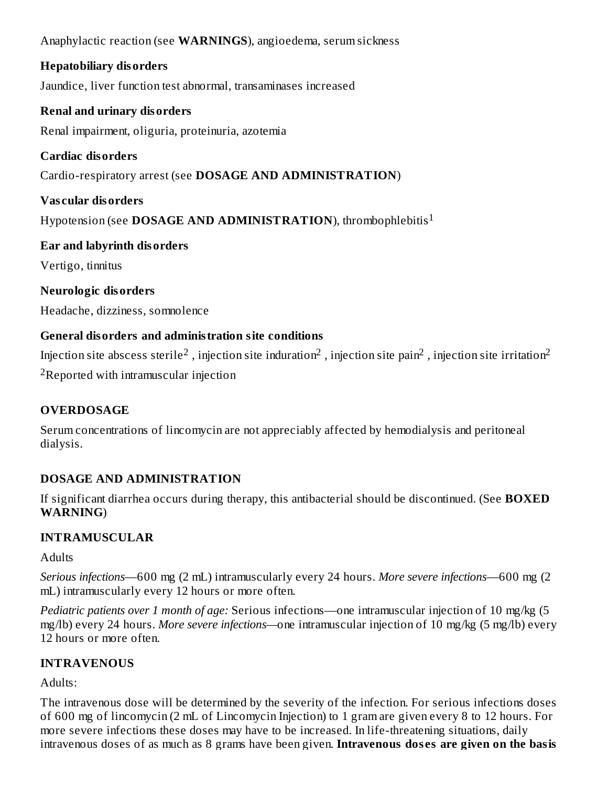Anaphylactic reaction (see **WARNINGS**), angioedema, serum sickness

# **Hepatobiliary disorders**

Jaundice, liver function test abnormal, transaminases increased

# **Renal and urinary disorders**

Renal impairment, oliguria, proteinuria, azotemia

# **Cardiac disorders**

Cardio-respiratory arrest (see **DOSAGE AND ADMINISTRATION**)

# **Vas cular disorders**

Hypotension (see **DOSAGE AND ADMINISTRATION**), thrombophlebitis 1

# **Ear and labyrinth disorders**

Vertigo, tinnitus

# **Neurologic disorders**

Headache, dizziness, somnolence

# **General disorders and administration site conditions**

Injection site abscess sterile $^2$  , injection site induration $^2$  , injection site pain $^2$  , injection site irritation $^2$  $2R$ eported with intramuscular injection

# **OVERDOSAGE**

Serum concentrations of lincomycin are not appreciably affected by hemodialysis and peritoneal dialysis.

# **DOSAGE AND ADMINISTRATION**

If significant diarrhea occurs during therapy, this antibacterial should be discontinued. (See **BOXED WARNING**)

# **INTRAMUSCULAR**

**Adults** 

*Serious infections*—600 mg (2 mL) intramuscularly every 24 hours. *More severe infections*—600 mg (2 mL) intramuscularly every 12 hours or more often.

*Pediatric patients over 1 month of age:* Serious infections—one intramuscular injection of 10 mg/kg (5 mg/lb) every 24 hours. *More severe infections—*one intramuscular injection of 10 mg/kg (5 mg/lb) every 12 hours or more often.

# **INTRAVENOUS**

Adults:

The intravenous dose will be determined by the severity of the infection. For serious infections doses of 600 mg of lincomycin (2 mL of Lincomycin Injection) to 1 gram are given every 8 to 12 hours. For more severe infections these doses may have to be increased. In life-threatening situations, daily intravenous doses of as much as 8 grams have been given. **Intravenous dos es are given on the basis**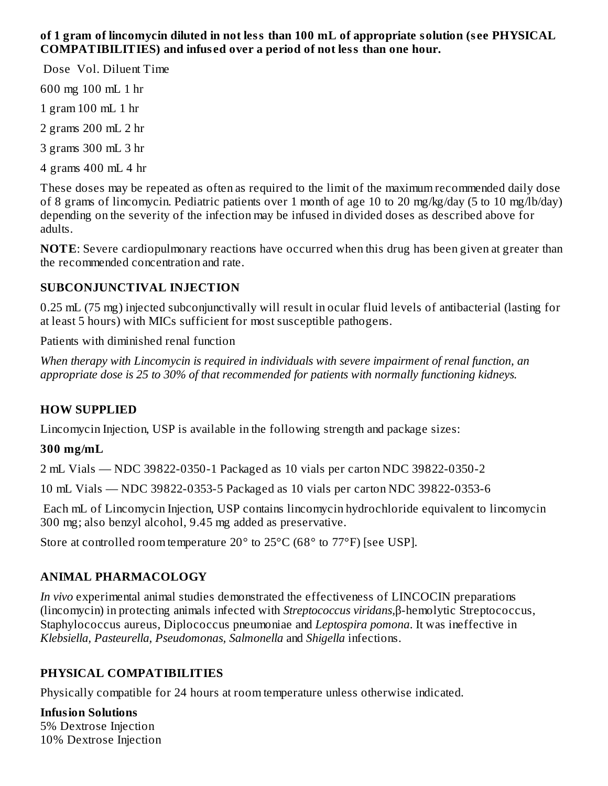## **of 1 gram of lincomycin diluted in not less than 100 mL of appropriate solution (s ee PHYSICAL COMPATIBILITIES) and infus ed over a period of not less than one hour.**

Dose Vol. Diluent Time

600 mg 100 mL 1 hr

1 gram 100 mL 1 hr

2 grams 200 mL 2 hr

3 grams 300 mL 3 hr

4 grams 400 mL 4 hr

These doses may be repeated as often as required to the limit of the maximum recommended daily dose of 8 grams of lincomycin. Pediatric patients over 1 month of age 10 to 20 mg/kg/day (5 to 10 mg/lb/day) depending on the severity of the infection may be infused in divided doses as described above for adults.

**NOTE**: Severe cardiopulmonary reactions have occurred when this drug has been given at greater than the recommended concentration and rate.

## **SUBCONJUNCTIVAL INJECTION**

0.25 mL (75 mg) injected subconjunctivally will result in ocular fluid levels of antibacterial (lasting for at least 5 hours) with MICs sufficient for most susceptible pathogens.

Patients with diminished renal function

*When therapy with Lincomycin is required in individuals with severe impairment of renal function, an appropriate dose is 25 to 30% of that recommended for patients with normally functioning kidneys.*

## **HOW SUPPLIED**

Lincomycin Injection, USP is available in the following strength and package sizes:

## **300 mg/mL**

2 mL Vials — NDC 39822-0350-1 Packaged as 10 vials per carton NDC 39822-0350-2

10 mL Vials — NDC 39822-0353-5 Packaged as 10 vials per carton NDC 39822-0353-6

Each mL of Lincomycin Injection, USP contains lincomycin hydrochloride equivalent to lincomycin 300 mg; also benzyl alcohol, 9.45 mg added as preservative.

Store at controlled room temperature 20° to 25°C (68° to 77°F) [see USP].

## **ANIMAL PHARMACOLOGY**

*In vivo* experimental animal studies demonstrated the effectiveness of LINCOCIN preparations (lincomycin) in protecting animals infected with *Streptococcus viridans,*β-hemolytic Streptococcus, Staphylococcus aureus, Diplococcus pneumoniae and *Leptospira pomona*. It was ineffective in *Klebsiella, Pasteurella, Pseudomonas, Salmonella* and *Shigella* infections.

# **PHYSICAL COMPATIBILITIES**

Physically compatible for 24 hours at room temperature unless otherwise indicated.

**Infusion Solutions** 5% Dextrose Injection 10% Dextrose Injection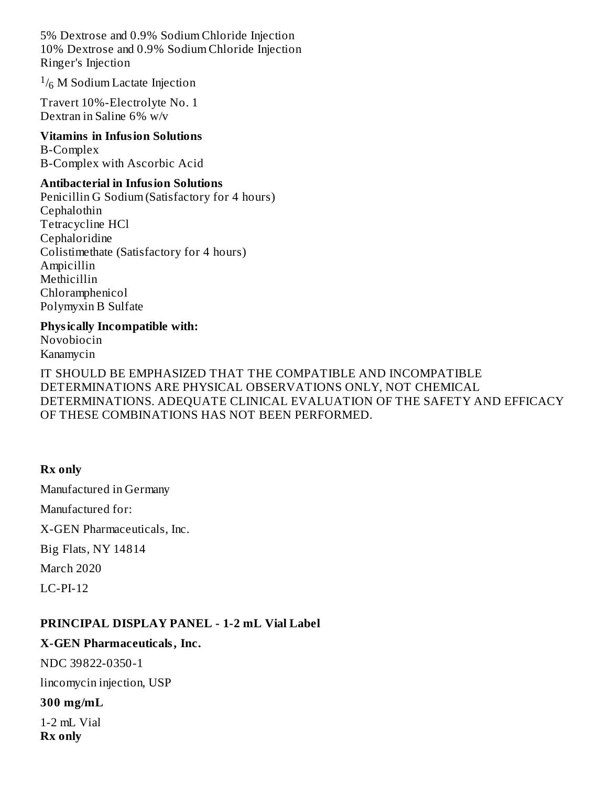5% Dextrose and 0.9% Sodium Chloride Injection 10% Dextrose and 0.9% Sodium Chloride Injection Ringer's Injection

 $^{1}/_{6}$  M Sodium Lactate Injection

Travert 10%-Electrolyte No. 1 Dextran in Saline 6% w/v

# **Vitamins in Infusion Solutions**

B-Complex B-Complex with Ascorbic Acid

#### **Antibacterial in Infusion Solutions**

Penicillin G Sodium (Satisfactory for 4 hours) Cephalothin Tetracycline HCl Cephaloridine Colistimethate (Satisfactory for 4 hours) Ampicillin Methicillin Chloramphenicol Polymyxin B Sulfate

#### **Physically Incompatible with:**

Novobiocin Kanamycin

IT SHOULD BE EMPHASIZED THAT THE COMPATIBLE AND INCOMPATIBLE DETERMINATIONS ARE PHYSICAL OBSERVATIONS ONLY, NOT CHEMICAL DETERMINATIONS. ADEQUATE CLINICAL EVALUATION OF THE SAFETY AND EFFICACY OF THESE COMBINATIONS HAS NOT BEEN PERFORMED.

#### **Rx only**

Manufactured in Germany Manufactured for: X-GEN Pharmaceuticals, Inc. Big Flats, NY 14814 March 2020 LC-PI-12

#### **PRINCIPAL DISPLAY PANEL - 1-2 mL Vial Label**

#### **X-GEN Pharmaceuticals, Inc.**

NDC 39822-0350-1

lincomycin injection, USP

#### **300 mg/mL**

1-2 mL Vial **Rx only**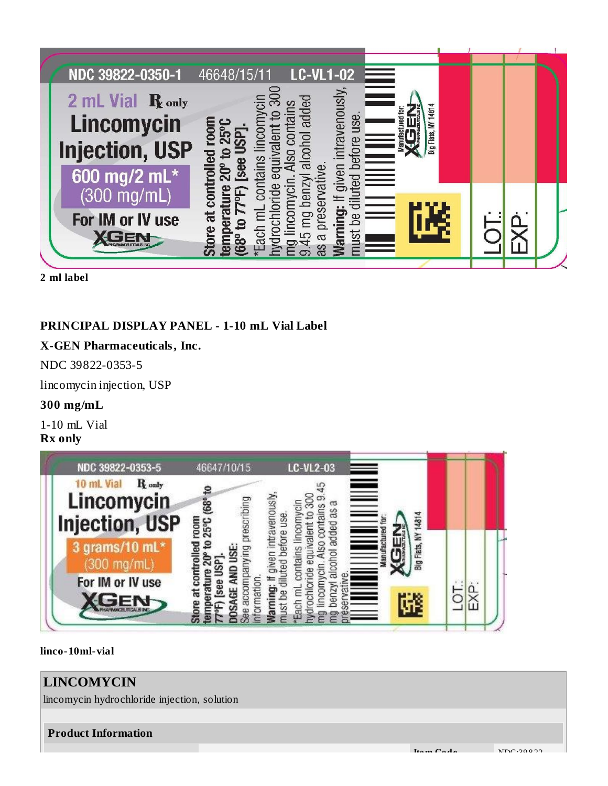

**2 ml label**

## **PRINCIPAL DISPLAY PANEL - 1-10 mL Vial Label**

## **X-GEN Pharmaceuticals, Inc.**

NDC 39822-0353-5

lincomycin injection, USP

## **300 mg/mL**

1-10 mL Vial **Rx only**



#### **linco-10ml-vial**

# **LINCOMYCIN** lincomycin hydrochloride injection, solution **Product Information Ite m Code** NDC:39 8 22-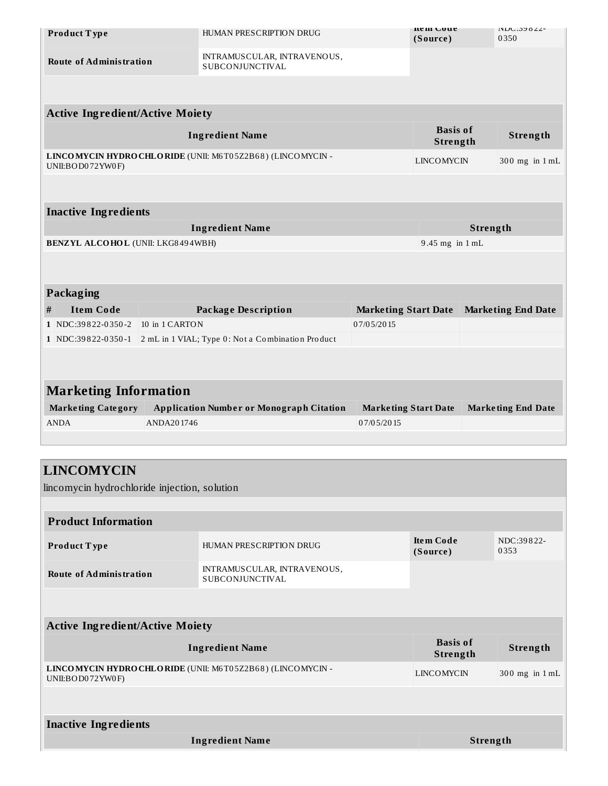|                                        | Product Type                                 |                        | HUMAN PRESCRIPTION DRUG                                   |                             | nem Coue<br>(Source) |                           | INDU:39022-<br>0350 |  |  |  |  |
|----------------------------------------|----------------------------------------------|------------------------|-----------------------------------------------------------|-----------------------------|----------------------|---------------------------|---------------------|--|--|--|--|
| <b>Route of Administration</b>         |                                              |                        | INTRAMUSCULAR, INTRAVENOUS,<br>SUBCONJUNCTIVAL            |                             |                      |                           |                     |  |  |  |  |
|                                        |                                              |                        |                                                           |                             |                      |                           |                     |  |  |  |  |
| <b>Active Ingredient/Active Moiety</b> |                                              |                        |                                                           |                             |                      |                           |                     |  |  |  |  |
|                                        |                                              | <b>Ingredient Name</b> |                                                           | <b>Basis of</b><br>Strength |                      | Strength                  |                     |  |  |  |  |
|                                        | UNII:BOD072YW0F)                             |                        | LINCOMYCIN HYDROCHLORIDE (UNII: M6T05Z2B68) (LINCOMYCIN - |                             | LINCOMYCIN           |                           | 300 mg in 1 mL      |  |  |  |  |
|                                        |                                              |                        |                                                           |                             |                      |                           |                     |  |  |  |  |
|                                        | <b>Inactive Ingredients</b>                  |                        |                                                           |                             |                      |                           |                     |  |  |  |  |
|                                        |                                              |                        | <b>Ingredient Name</b>                                    |                             | Strength             |                           |                     |  |  |  |  |
|                                        | <b>BENZYL ALCOHOL (UNII: LKG8494WBH)</b>     |                        |                                                           |                             | 9.45 mg in 1 mL      |                           |                     |  |  |  |  |
|                                        |                                              |                        |                                                           |                             |                      |                           |                     |  |  |  |  |
|                                        | Packaging                                    |                        |                                                           |                             |                      |                           |                     |  |  |  |  |
| #                                      | <b>Item Code</b>                             |                        | <b>Package Description</b>                                | <b>Marketing Start Date</b> |                      | <b>Marketing End Date</b> |                     |  |  |  |  |
|                                        | 1 NDC:39822-0350-2                           | 10 in 1 CARTON         |                                                           | 07/05/2015                  |                      |                           |                     |  |  |  |  |
|                                        | 1 NDC:39822-0350-1                           |                        | 2 mL in 1 VIAL; Type 0: Not a Combination Product         |                             |                      |                           |                     |  |  |  |  |
|                                        |                                              |                        |                                                           |                             |                      |                           |                     |  |  |  |  |
|                                        | <b>Marketing Information</b>                 |                        |                                                           |                             |                      |                           |                     |  |  |  |  |
| <b>Marketing Category</b>              |                                              |                        | <b>Application Number or Monograph Citation</b>           | <b>Marketing Start Date</b> |                      | <b>Marketing End Date</b> |                     |  |  |  |  |
| <b>ANDA</b>                            |                                              | ANDA201746             |                                                           | 07/05/2015                  |                      |                           |                     |  |  |  |  |
|                                        |                                              |                        |                                                           |                             |                      |                           |                     |  |  |  |  |
|                                        | <b>LINCOMYCIN</b>                            |                        |                                                           |                             |                      |                           |                     |  |  |  |  |
|                                        | lincomycin hydrochloride injection, solution |                        |                                                           |                             |                      |                           |                     |  |  |  |  |
|                                        | <b>Product Information</b>                   |                        |                                                           |                             |                      |                           |                     |  |  |  |  |
|                                        |                                              |                        |                                                           |                             | <b>Item Code</b>     |                           | NDC:39822-          |  |  |  |  |
| Product Type                           |                                              |                        | HUMAN PRESCRIPTION DRUG                                   |                             | (Source)             |                           | 0353                |  |  |  |  |
| <b>Route of Administration</b>         |                                              |                        | INTRAMUSCULAR, INTRAVENOUS,<br><b>SUBCONJUNCTIVAL</b>     |                             |                      |                           |                     |  |  |  |  |
|                                        |                                              |                        |                                                           |                             |                      |                           |                     |  |  |  |  |
|                                        | <b>Active Ingredient/Active Moiety</b>       |                        |                                                           |                             |                      |                           |                     |  |  |  |  |
|                                        | <b>Basis of</b>                              |                        |                                                           |                             |                      |                           |                     |  |  |  |  |

| Ingredient Name                                                                | рамм от<br>Strength | Strength           |
|--------------------------------------------------------------------------------|---------------------|--------------------|
| LINCOMYCIN HYDRO CHLORIDE (UNII: M6T05Z2B68) (LINCOMYCIN -<br>UNII:BOD072YW0F) | LINCOMYCIN          | $300$ mg in $1$ mL |

**Inactive Ingredients Ingredient Name Strength**